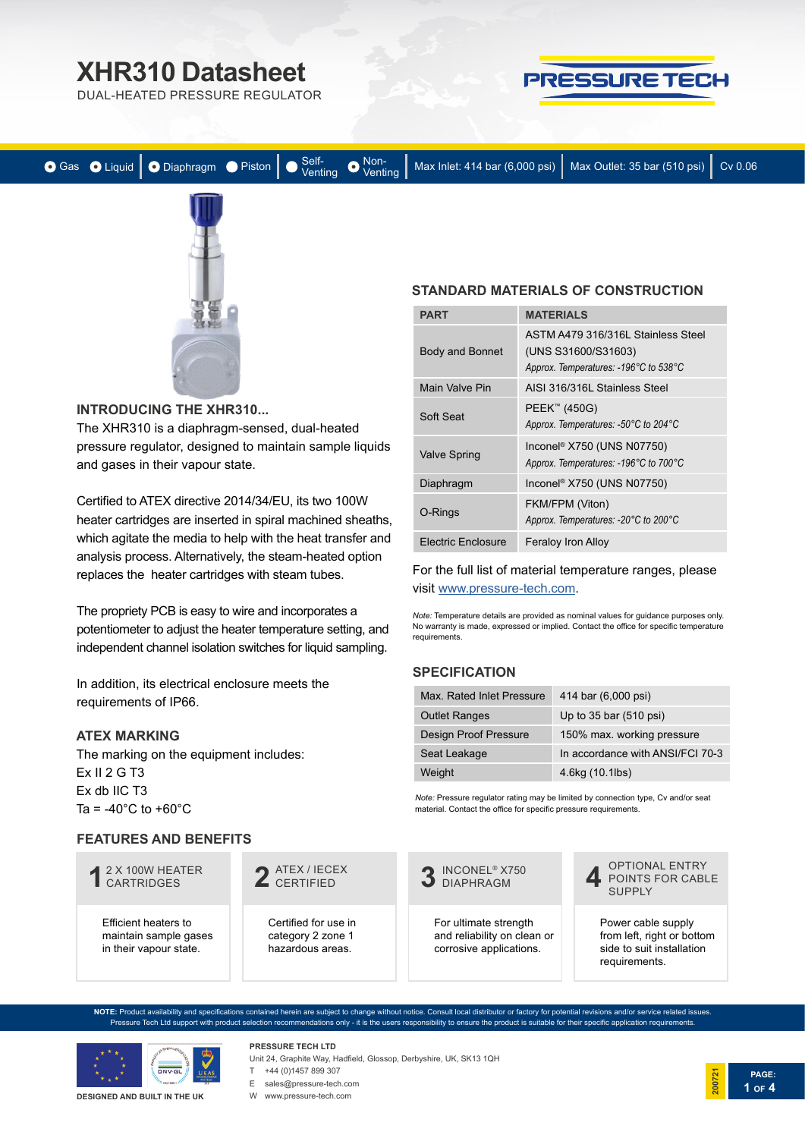DUAL-HEATED PRESSURE REGULATOR



| ● Gas ● Liquid   ● Diaphragm ● Piston   ● Self-<br>Venting ● Wax Inlet: 414 bar (6,000 psi)   Max Outlet: 35 bar (510 psi)   Cv 0.06 |  |  |  |
|--------------------------------------------------------------------------------------------------------------------------------------|--|--|--|
|--------------------------------------------------------------------------------------------------------------------------------------|--|--|--|



#### **INTRODUCING THE XHR310...**

The XHR310 is a diaphragm-sensed, dual-heated pressure regulator, designed to maintain sample liquids and gases in their vapour state.

Certified to ATEX directive 2014/34/EU, its two 100W heater cartridges are inserted in spiral machined sheaths, which agitate the media to help with the heat transfer and analysis process. Alternatively, the steam-heated option replaces the heater cartridges with steam tubes.

The propriety PCB is easy to wire and incorporates a potentiometer to adjust the heater temperature setting, and independent channel isolation switches for liquid sampling.

In addition, its electrical enclosure meets the requirements of IP66.

#### **ATEX MARKING**

The marking on the equipment includes: Ex II 2 G T3 Ex db IIC T3 Ta =  $-40^{\circ}$ C to  $+60^{\circ}$ C

#### **FEATURES AND BENEFITS**

# 2 X 100W HEATER **1** CARTRIDGES

Efficient heaters to maintain sample gases in their vapour state.

ATEX / IECEX **2** CERTIFIED

Certified for use in category 2 zone 1 hazardous areas.

**STANDARD MATERIALS OF CONSTRUCTION**

| <b>PART</b>            | <b>MATERIALS</b>                                                                                   |
|------------------------|----------------------------------------------------------------------------------------------------|
| <b>Body and Bonnet</b> | ASTM A479 316/316L Stainless Steel<br>(UNS S31600/S31603)<br>Approx. Temperatures: -196°C to 538°C |
| Main Valve Pin         | AISI 316/316L Stainless Steel                                                                      |
| Soft Seat              | PEEK <sup>™</sup> (450G)<br>Approx. Temperatures: -50°C to 204°C                                   |
| <b>Valve Spring</b>    | Inconel <sup>®</sup> X750 (UNS N07750)<br>Approx. Temperatures: -196°C to 700°C                    |
| Diaphragm              | Inconel <sup>®</sup> X750 (UNS N07750)                                                             |
| O-Rings                | FKM/FPM (Viton)<br>Approx. Temperatures: -20°C to 200°C                                            |
| Electric Enclosure     | <b>Feraloy Iron Alloy</b>                                                                          |

For the full list of material temperature ranges, please visit [www.pressure-tech.com.](http://www.pressure-tech.com/resources/49/material temperature range guide.pdf)

*Note:* Temperature details are provided as nominal values for guidance purposes only. No warranty is made, expressed or implied. Contact the office for specific temperature requirements.

### **SPECIFICATION**

| Max. Rated Inlet Pressure    | 414 bar (6,000 psi)              |
|------------------------------|----------------------------------|
| <b>Outlet Ranges</b>         | Up to 35 bar (510 psi)           |
| <b>Design Proof Pressure</b> | 150% max. working pressure       |
| Seat Leakage                 | In accordance with ANSI/FCI 70-3 |
| Weight                       | 4.6kg (10.1lbs)                  |

*Note:* Pressure regulator rating may be limited by connection type, Cv and/or seat material. Contact the office for specific pressure requirements.



For ultimate strength and reliability on clean or corrosive applications.



Power cable supply from left, right or bottom side to suit installation requirements.

**PAGE:**

**1 OF 4**

**200721**

**NOTE:** Product availability and specifications contained herein are subject to change without notice. Consult local distributor or factory for potential revisions and/or service related issues. Pressure Tech Ltd support with product selection recommendations only - it is the users responsibility to ensure the product is suitable for their specific application requirements.



**DESIGNED AND BUILT IN THE UK**

Unit 24, Graphite Way, Hadfield, Glossop, Derbyshire, UK, SK13 1QH T +44 (0)1457 899 307 E sales@pressure-tech.com

W www.pressure-tech.com

**PRESSURE TECH LTD**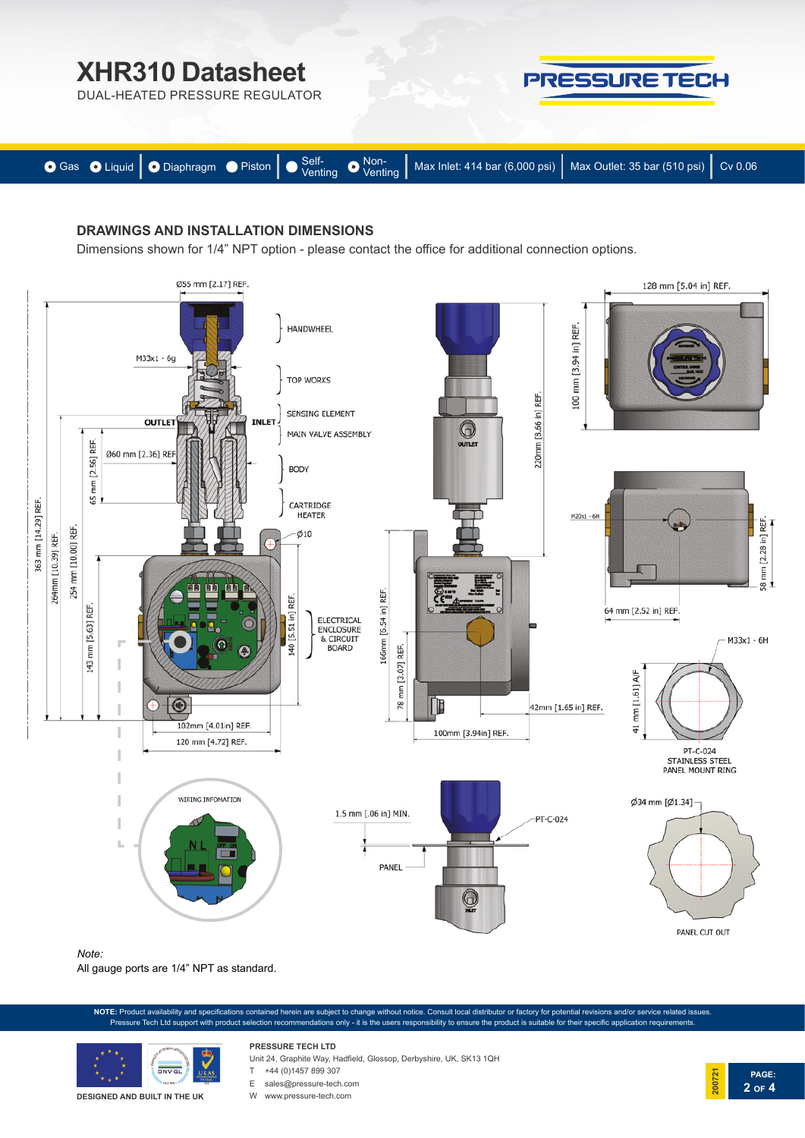DUAL-HEATED PRESSURE REGULATOR



**PRESSURE TECH** 

### **DRAWINGS AND INSTALLATION DIMENSIONS**

Dimensions shown for 1/4" NPT option - please contact the office for additional connection options.



All gauge ports are 1/4" NPT as standard.

**NOTE:** Product availability and specifications contained herein are subject to change without notice. Consult local distributor or factory for potential revisions and/or service related issues. Pressure Tech Ltd support with product selection recommendations only - it is the users responsibility to ensure the product is suitable for their specific application requirements.



**DESIGNED AND BUILT IN THE UK**

**PRESSURE TECH LTD** Unit 24, Graphite Way, Hadfield, Glossop, Derbyshire, UK, SK13 1QH

T +44 (0)1457 899 307



E sales@pressure-tech.com

W www.pressure-tech.com

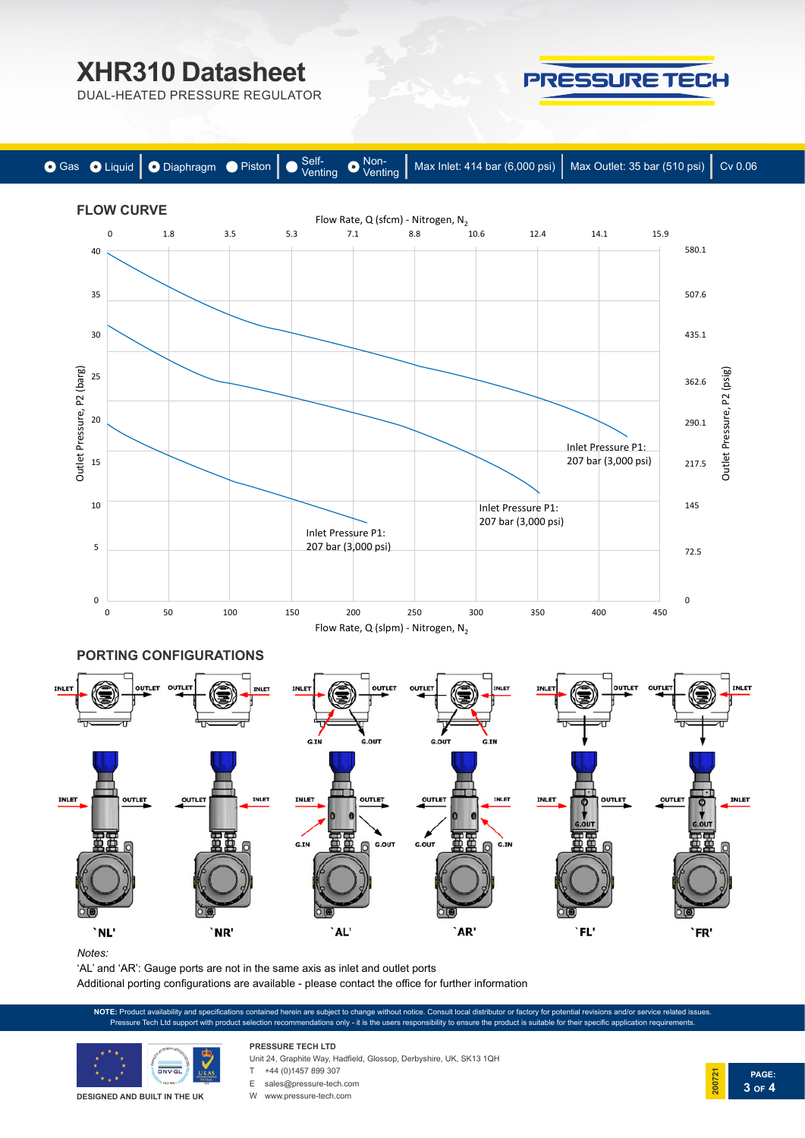PRESSURE TECH

**PAGE:**

**3 OF 4**

**200721**

DUAL-HEATED PRESSURE REGULATOR



*Notes:* 

'AL' and 'AR': Gauge ports are not in the same axis as inlet and outlet ports

Additional porting configurations are available - please contact the office for further information

**NOTE:** Product availability and specifications contained herein are subject to change without notice. Consult local distributor or factory for potential revisions and/or service related issues. Pressure Tech Ltd support with product selection recommendations only - it is the users responsibility to ensure the product is suitable for their specific application requirer



**DESIGNED AND BUILT IN THE UK**

- Unit 24, Graphite Way, Hadfield, Glossop, Derbyshire, UK, SK13 1QH
- **PRESSURE TECH LTD** T +44 (0)1457 899 307
- 
- E sales@pressure-tech.com
- W www.pressure-tech.com